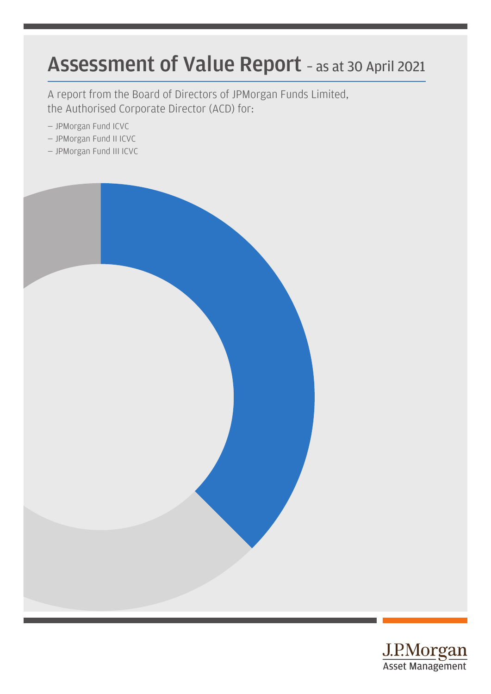# Assessment of Value Report – as at 30 April 2021

A report from the Board of Directors of JPMorgan Funds Limited, the Authorised Corporate Director (ACD) for:

- JPMorgan Fund ICVC
- JPMorgan Fund II ICVC
- JPMorgan Fund III ICVC



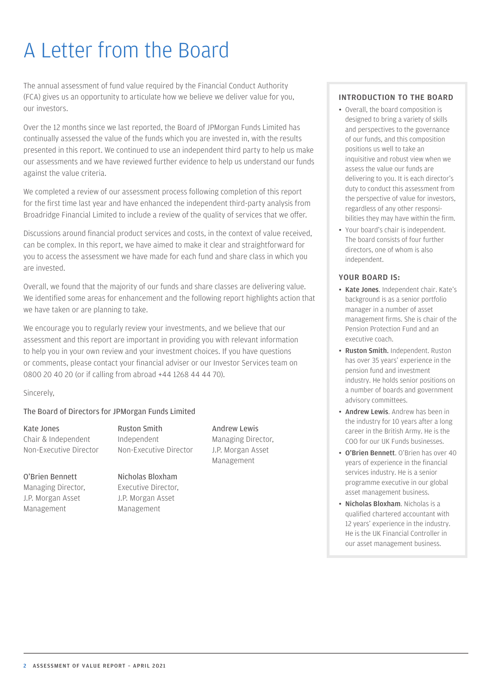# A Letter from the Board

The annual assessment of fund value required by the Financial Conduct Authority (FCA) gives us an opportunity to articulate how we believe we deliver value for you, our investors.

Over the 12 months since we last reported, the Board of JPMorgan Funds Limited has continually assessed the value of the funds which you are invested in, with the results presented in this report. We continued to use an independent third party to help us make our assessments and we have reviewed further evidence to help us understand our funds against the value criteria.

We completed a review of our assessment process following completion of this report for the first time last year and have enhanced the independent third-party analysis from Broadridge Financial Limited to include a review of the quality of services that we offer.

Discussions around financial product services and costs, in the context of value received, can be complex. In this report, we have aimed to make it clear and straightforward for you to access the assessment we have made for each fund and share class in which you are invested.

Overall, we found that the majority of our funds and share classes are delivering value. We identified some areas for enhancement and the following report highlights action that we have taken or are planning to take.

We encourage you to regularly review your investments, and we believe that our assessment and this report are important in providing you with relevant information to help you in your own review and your investment choices. If you have questions or comments, please contact your financial adviser or our Investor Services team on 0800 20 40 20 (or if calling from abroad +44 1268 44 44 70).

Sincerely,

#### The Board of Directors for JPMorgan Funds Limited

Kate Jones Chair & Independent Non-Executive Director

O'Brien Bennett Managing Director, J.P. Morgan Asset Management

Ruston Smith Independent Non-Executive Director

Nicholas Bloxham Executive Director, J.P. Morgan Asset Management

Andrew Lewis Managing Director, J.P. Morgan Asset Management

#### INTRODUCTION TO THE BOARD

- Overall, the board composition is designed to bring a variety of skills and perspectives to the governance of our funds, and this composition positions us well to take an inquisitive and robust view when we assess the value our funds are delivering to you. It is each director's duty to conduct this assessment from the perspective of value for investors, regardless of any other responsibilities they may have within the firm.
- Your board's chair is independent. The board consists of four further directors, one of whom is also independent.

#### YOUR BOARD IS:

- Kate Jones. Independent chair. Kate's background is as a senior portfolio manager in a number of asset management firms. She is chair of the Pension Protection Fund and an executive coach.
- Ruston Smith. Independent. Ruston has over 35 years' experience in the pension fund and investment industry. He holds senior positions on a number of boards and government advisory committees.
- Andrew Lewis. Andrew has been in the industry for 10 years after a long career in the British Army. He is the COO for our UK Funds businesses.
- O'Brien Bennett. O'Brien has over 40 years of experience in the financial services industry. He is a senior programme executive in our global asset management business.
- Nicholas Bloxham. Nicholas is a qualified chartered accountant with 12 years' experience in the industry. He is the UK Financial Controller in our asset management business.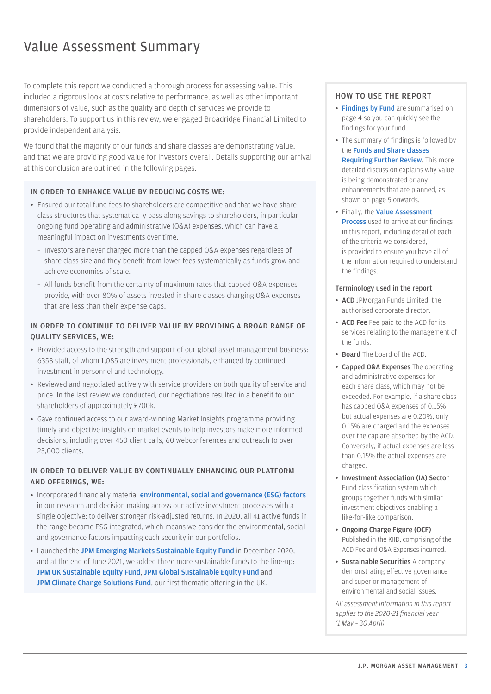To complete this report we conducted a thorough process for assessing value. This included a rigorous look at costs relative to performance, as well as other important dimensions of value, such as the quality and depth of services we provide to shareholders. To support us in this review, we engaged Broadridge Financial Limited to provide independent analysis.

We found that the majority of our funds and share classes are demonstrating value, and that we are providing good value for investors overall. Details supporting our arrival at this conclusion are outlined in the following pages.

#### IN ORDER TO ENHANCE VALUE BY REDUCING COSTS WE:

- Ensured our total fund fees to shareholders are competitive and that we have share class structures that systematically pass along savings to shareholders, in particular ongoing fund operating and administrative (O&A) expenses, which can have a meaningful impact on investments over time.
	- Investors are never charged more than the capped O&A expenses regardless of share class size and they benefit from lower fees systematically as funds grow and achieve economies of scale.
	- All funds benefit from the certainty of maximum rates that capped O&A expenses provide, with over 80% of assets invested in share classes charging O&A expenses that are less than their expense caps.

#### IN ORDER TO CONTINUE TO DELIVER VALUE BY PROVIDING A BROAD RANGE OF QUALITY SERVICES, WE:

- Provided access to the strength and support of our global asset management business: 6358 staff, of whom 1,085 are investment professionals, enhanced by continued investment in personnel and technology.
- Reviewed and negotiated actively with service providers on both quality of service and price. In the last review we conducted, our negotiations resulted in a benefit to our shareholders of approximately £700k.
- Gave continued access to our award-winning Market Insights programme providing timely and objective insights on market events to help investors make more informed decisions, including over 450 client calls, 60 webconferences and outreach to over 25,000 clients.

#### IN ORDER TO DELIVER VALUE BY CONTINUALLY ENHANCING OUR PLATFORM AND OFFERINGS, WE:

- Incorporated financially material [environmental, social and governance \(ESG\) factors](https://am.jpmorgan.com/gb/en/asset-management/adv/investment-themes/sustainable-investing/ESG-integration/) in our research and decision making across our active investment processes with a single objective: to deliver stronger risk-adjusted returns. In 2020, all 41 active funds in the range became ESG integrated, which means we consider the environmental, social and governance factors impacting each security in our portfolios.
- Launched the [JPM Emerging Markets Sustainable Equity Fund](https://am.jpmorgan.com/gb/en/asset-management/adv/products/jpm-emerging-markets-sustainable-equity-fund-c-net-accumulation-gb00bl0dtp33) in December 2020, and at the end of June 2021, we added three more sustainable funds to the line-up: [JPM UK Sustainable Equity Fund](https://am.jpmorgan.com/gb/en/asset-management/adv/products/jpm-uk-sustainable-equity-fund-c-net-accumulation-gb00bmtr9759), [JPM Global Sustainable Equity Fund](https://am.jpmorgan.com/gb/en/asset-management/adv/products/jpm-global-sustainable-equity-fund-c-net-accumulation-gb00bmtr8p66) and JPM [Climate Change Solutions Fund](https://am.jpmorgan.com/gb/en/asset-management/adv/products/jpm-climate-change-solutions-fund-c-net-accumulation-gb00bnkf8s99), our first thematic offering in the UK.

#### HOW TO USE THE REPORT

- [Findings by Fund](#page-3-0) are summarised on page 4 so you can quickly see the findings for your fund.
- The summary of findings is followed by the [Funds and Share classes](#page-4-0) [Requiring Further Review](#page-4-0). This more detailed discussion explains why value is being demonstrated or any enhancements that are planned, as shown on page 5 onwards.
- Finally, the [Value Assessment](#page-8-0) **[Process](#page-8-0)** used to arrive at our findings in this report, including detail of each of the criteria we considered, is provided to ensure you have all of the information required to understand the findings.

#### Terminology used in the report

- ACD JPMorgan Funds Limited, the authorised corporate director.
- ACD Fee Fee paid to the ACD for its services relating to the management of the funds.
- Board The board of the ACD.
- Capped O&A Expenses The operating and administrative expenses for each share class, which may not be exceeded. For example, if a share class has capped O&A expenses of 0.15% but actual expenses are 0.20%, only 0.15% are charged and the expenses over the cap are absorbed by the ACD. Conversely, if actual expenses are less than 0.15% the actual expenses are charged.
- Investment Association (IA) Sector Fund classification system which groups together funds with similar investment objectives enabling a like-for-like comparison.
- Ongoing Charge Figure (OCF) Published in the KIID, comprising of the ACD Fee and O&A Expenses incurred.
- Sustainable Securities A company demonstrating effective governance and superior management of environmental and social issues.

*All assessment information in this report applies to the 2020-21 financial year (1 May – 30 April).*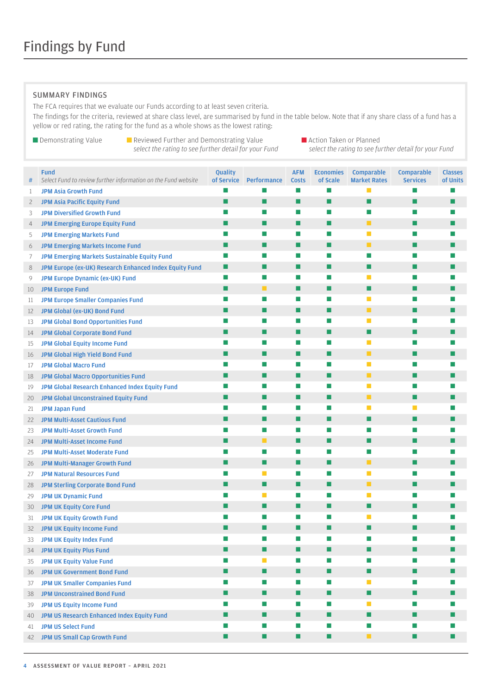#### <span id="page-3-0"></span>SUMMARY FINDINGS

The FCA requires that we evaluate our Funds according to at least seven criteria.

The findings for the criteria, reviewed at share class level, are summarised by fund in the table below. Note that if any share class of a fund has a yellow or red rating, the rating for the fund as a whole shows as the lowest rating:

*select the rating to see further detail for your Fund select the rating to see further detail for your Fund*

■ Demonstrating Value ■ Reviewed Further and Demonstrating Value ■ Action Taken or Planned<br>Select the rating to see further detail for your Fund select the rating to see further detail for your Fund

| #              | <b>Fund</b><br>Select Fund to review further information on the Fund website | Quality<br>of Service | Performance | <b>AFM</b><br><b>Costs</b> | <b>Economies</b><br>of Scale | Comparable<br><b>Market Rates</b> | <b>Comparable</b><br><b>Services</b> | <b>Classes</b><br>of Units |
|----------------|------------------------------------------------------------------------------|-----------------------|-------------|----------------------------|------------------------------|-----------------------------------|--------------------------------------|----------------------------|
| $\mathbf{1}$   | <b>JPM Asia Growth Fund</b>                                                  |                       |             | П                          | П                            | $\Box$                            |                                      |                            |
| $\overline{2}$ | <b>JPM Asia Pacific Equity Fund</b>                                          | ■                     | П           | п                          | П                            | П                                 | П                                    | П                          |
| 3              | <b>JPM Diversified Growth Fund</b>                                           |                       | П           | П                          | П                            | П                                 | П                                    |                            |
| 4              | <b>JPM Emerging Europe Equity Fund</b>                                       | П                     | П           | п                          | П                            | п                                 | П                                    | ш                          |
| 5              | <b>JPM Emerging Markets Fund</b>                                             |                       | П           | П                          | П                            | T.                                | ш                                    |                            |
| 6              | <b>JPM Emerging Markets Income Fund</b>                                      | П                     | П           | п                          | П                            | п                                 | П                                    | ш                          |
| 7              | <b>JPM Emerging Markets Sustainable Equity Fund</b>                          | ×                     | ш           | <b>COL</b>                 | п                            | П                                 | п                                    |                            |
| 8              | JPM Europe (ex-UK) Research Enhanced Index Equity Fund                       | Ш                     | П           | п                          | П                            | п                                 | <b>Tale</b>                          | ш                          |
| 9              | <b>JPM Europe Dynamic (ex-UK) Fund</b>                                       |                       | ш           | ш                          | П                            | П                                 |                                      |                            |
| 10             | <b>JPM Europe Fund</b>                                                       | ш                     | ш           | п                          | П                            | П                                 | H                                    |                            |
| 11             | <b>JPM Europe Smaller Companies Fund</b>                                     |                       | П           | <b>COL</b>                 | П                            | П                                 | ш                                    |                            |
| 12             | <b>JPM Global (ex-UK) Bond Fund</b>                                          | H                     | П           | п                          | ■                            | ш                                 | П                                    | H                          |
| 13             | <b>JPM Global Bond Opportunities Fund</b>                                    |                       | ш           | П                          | П                            | П                                 |                                      |                            |
| 14             | <b>JPM Global Corporate Bond Fund</b>                                        |                       | П           | п                          | П                            | П                                 | П                                    | ш                          |
| 15             | <b>JPM Global Equity Income Fund</b>                                         |                       | П           | П                          | П                            | m.                                | ш                                    |                            |
| 16             | JPM Global High Yield Bond Fund                                              | П                     | П           | п                          | п                            | п                                 | П                                    | ш                          |
| 17             | <b>JPM Global Macro Fund</b>                                                 |                       | ш           | П                          | п                            | $\Box$                            | п                                    |                            |
| 18             | <b>JPM Global Macro Opportunities Fund</b>                                   | ×                     | П           | п                          | П                            | п                                 | П                                    | П                          |
| 19             | JPM Global Research Enhanced Index Equity Fund                               |                       | ш           | П                          | П                            | $\mathbb{R}^n$                    | H                                    |                            |
| 20             | <b>JPM Global Unconstrained Equity Fund</b>                                  | ш                     | П           | п                          | П                            | п                                 | П                                    |                            |
| 21             | <b>JPM Japan Fund</b>                                                        |                       | ш           | <b>COL</b>                 | П                            | П                                 | П                                    |                            |
| 22             | <b>JPM Multi-Asset Cautious Fund</b>                                         | П                     | П           | п                          | П                            | П                                 | П                                    | H                          |
| 23             | <b>JPM Multi-Asset Growth Fund</b>                                           |                       | ш           | <b>The State</b>           | П                            | Ш                                 |                                      |                            |
| 24             | <b>JPM Multi-Asset Income Fund</b>                                           |                       | п           | п                          | П                            | П                                 | П                                    | H                          |
| 25             | <b>JPM Multi-Asset Moderate Fund</b>                                         |                       | П           | П                          | П                            | П                                 | ш                                    |                            |
| 26             | JPM Multi-Manager Growth Fund                                                | П                     | П           | п                          | п                            | п                                 | П                                    | H                          |
| 27             | <b>JPM Natural Resources Fund</b>                                            |                       | <b>T</b>    | П                          | п                            | $\blacksquare$                    | п                                    |                            |
| 28             | JPM Sterling Corporate Bond Fund                                             | H                     | П           | п                          | П                            | ш                                 | П                                    | ш                          |
| 29             | <b>JPM UK Dynamic Fund</b>                                                   |                       | п           | П                          | П                            | m.                                |                                      |                            |
| 30             | <b>JPM UK Equity Core Fund</b>                                               |                       | П           | п                          | П                            | п                                 | H                                    |                            |
| 31             | <b>JPM UK Equity Growth Fund</b>                                             |                       |             |                            | П                            | П                                 |                                      |                            |
| 32             | <b>JPM UK Equity Income Fund</b>                                             |                       | □           | п                          | ■                            | П                                 |                                      |                            |
| 33             | <b>JPM UK Equity Index Fund</b>                                              |                       |             | l.                         | <b>The State</b>             |                                   |                                      |                            |
| 34             | <b>JPM UK Equity Plus Fund</b>                                               |                       |             | П                          | П                            | H                                 |                                      |                            |
| 35             | <b>JPM UK Equity Value Fund</b>                                              |                       | п           | П                          | $\blacksquare$               | П                                 |                                      |                            |
| 36             | <b>JPM UK Government Bond Fund</b>                                           | П                     | ■           | п                          | п                            | П                                 | п                                    | H                          |
| 37             | <b>JPM UK Smaller Companies Fund</b>                                         |                       |             | П                          | П                            | m.                                |                                      |                            |
| 38             | <b>JPM Unconstrained Bond Fund</b>                                           | П                     | п           | п                          | п                            | п                                 | п                                    | ш                          |
| 39             | <b>JPM US Equity Income Fund</b>                                             |                       | ш           | П                          | П                            | $\Box$                            | Ш                                    |                            |
| 40             | JPM US Research Enhanced Index Equity Fund                                   | ×                     | П           | п                          | п                            | п                                 | П                                    | П                          |
| 41             | <b>JPM US Select Fund</b>                                                    |                       |             |                            | $\mathcal{C}^{\mathcal{A}}$  | $\mathcal{C}^{\mathcal{A}}$       |                                      |                            |
| 42             | JPM US Small Cap Growth Fund                                                 | ×.                    | П           | п                          | п                            | п                                 | п                                    | П                          |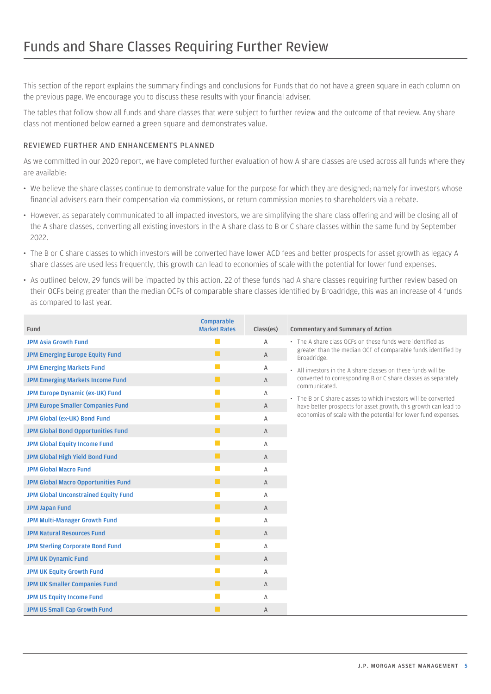<span id="page-4-0"></span>This section of the report explains the summary findings and conclusions for Funds that do not have a green square in each column on the previous page. We encourage you to discuss these results with your financial adviser.

The tables that follow show all funds and share classes that were subject to further review and the outcome of that review. Any share class not mentioned below earned a green square and demonstrates value.

#### REVIEWED FURTHER AND ENHANCEMENTS PLANNED

As we committed in our 2020 report, we have completed further evaluation of how A share classes are used across all funds where they are available:

- We believe the share classes continue to demonstrate value for the purpose for which they are designed; namely for investors whose financial advisers earn their compensation via commissions, or return commission monies to shareholders via a rebate.
- However, as separately communicated to all impacted investors, we are simplifying the share class offering and will be closing all of the A share classes, converting all existing investors in the A share class to B or C share classes within the same fund by September 2022.
- The B or C share classes to which investors will be converted have lower ACD fees and better prospects for asset growth as legacy A share classes are used less frequently, this growth can lead to economies of scale with the potential for lower fund expenses.
- As outlined below, 29 funds will be impacted by this action. 22 of these funds had A share classes requiring further review based on their OCFs being greater than the median OCFs of comparable share classes identified by Broadridge, this was an increase of 4 funds as compared to last year.

| Fund                                        | <b>Comparable</b><br><b>Market Rates</b> | Class(es)    | <b>Commentary and Summary of Action</b>                                        |
|---------------------------------------------|------------------------------------------|--------------|--------------------------------------------------------------------------------|
| <b>JPM Asia Growth Fund</b>                 | $\Box$                                   | A            | • The A share class OCEs on these funds were identified as                     |
| <b>JPM Emerging Europe Equity Fund</b>      | п                                        | A            | greater than the median OCF of comparable funds identified by<br>Broadridge.   |
| <b>JPM Emerging Markets Fund</b>            | П                                        | Α            | • All investors in the A share classes on these funds will be                  |
| <b>JPM Emerging Markets Income Fund</b>     | п                                        | $\mathsf{A}$ | converted to corresponding B or C share classes as separately<br>communicated. |
| <b>JPM Europe Dynamic (ex-UK) Fund</b>      | <b>T</b>                                 | Α            | The B or C share classes to which investors will be converted                  |
| <b>JPM Europe Smaller Companies Fund</b>    | п                                        | A            | have better prospects for asset growth, this growth can lead to                |
| JPM Global (ex-UK) Bond Fund                | m.                                       | Α            | economies of scale with the potential for lower fund expenses.                 |
| <b>JPM Global Bond Opportunities Fund</b>   | п                                        | A            |                                                                                |
| <b>JPM Global Equity Income Fund</b>        | П                                        | Α            |                                                                                |
| JPM Global High Yield Bond Fund             | $\blacksquare$                           | $\mathsf{A}$ |                                                                                |
| <b>JPM Global Macro Fund</b>                | <b>The State</b>                         | Α            |                                                                                |
| <b>JPM Global Macro Opportunities Fund</b>  | п                                        | $\mathsf{A}$ |                                                                                |
| <b>JPM Global Unconstrained Equity Fund</b> | $\mathbb{R}^n$                           | Α            |                                                                                |
| <b>JPM Japan Fund</b>                       | п                                        | $\mathsf{A}$ |                                                                                |
| <b>JPM Multi-Manager Growth Fund</b>        | n.                                       | Α            |                                                                                |
| <b>JPM Natural Resources Fund</b>           | п                                        | A            |                                                                                |
| <b>JPM Sterling Corporate Bond Fund</b>     | П                                        | Α            |                                                                                |
| <b>JPM UK Dynamic Fund</b>                  | п                                        | A            |                                                                                |
| <b>JPM UK Equity Growth Fund</b>            | n.                                       | Α            |                                                                                |
| <b>JPM UK Smaller Companies Fund</b>        | п                                        | $\mathsf{A}$ |                                                                                |
| <b>JPM US Equity Income Fund</b>            | П                                        | Α            |                                                                                |
| <b>JPM US Small Cap Growth Fund</b>         | H                                        | A            |                                                                                |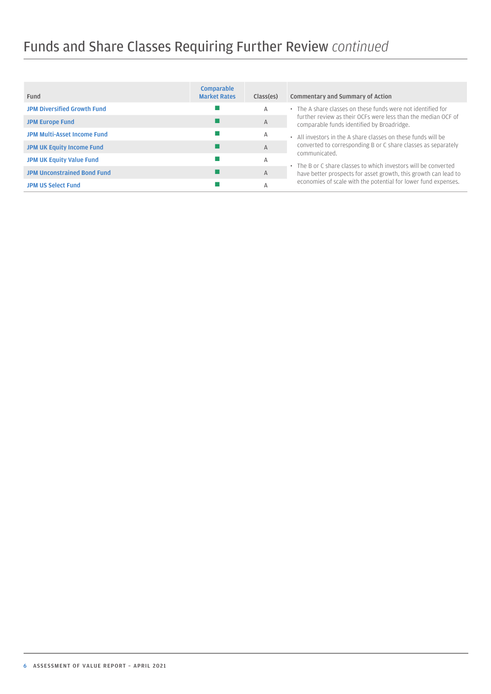# Funds and Share Classes Requiring Further Review *continued*

| Fund                               | <b>Comparable</b><br><b>Market Rates</b> | Class(es)    | Commentary and Summary of Action                                                                            |
|------------------------------------|------------------------------------------|--------------|-------------------------------------------------------------------------------------------------------------|
| <b>JPM Diversified Growth Fund</b> |                                          | Α            | • The A share classes on these funds were not identified for                                                |
| <b>JPM Europe Fund</b>             |                                          | $\mathsf{A}$ | further review as their OCFs were less than the median OCF of<br>comparable funds identified by Broadridge. |
| <b>JPM Multi-Asset Income Fund</b> |                                          | Α            | • All investors in the A share classes on these funds will be                                               |
| <b>JPM UK Equity Income Fund</b>   |                                          | $\mathsf{A}$ | converted to corresponding B or C share classes as separately<br>communicated.                              |
| <b>JPM UK Equity Value Fund</b>    |                                          | Α            | • The B or C share classes to which investors will be converted                                             |
| <b>JPM Unconstrained Bond Fund</b> |                                          | $\mathsf{A}$ | have better prospects for asset growth, this growth can lead to                                             |
| <b>JPM US Select Fund</b>          |                                          | А            | economies of scale with the potential for lower fund expenses.                                              |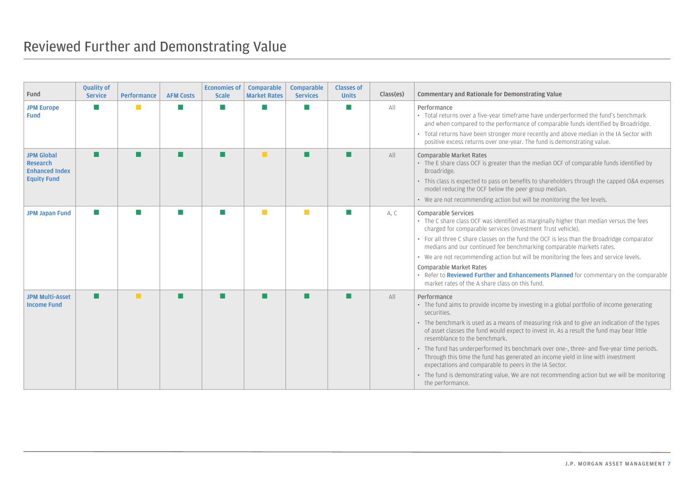<span id="page-6-0"></span>

| Fund                                                                         | <b>Quality of</b><br><b>Service</b> | Performance   | <b>AFM Costs</b> | <b>Economies of</b><br><b>Scale</b> | <b>Comparable</b><br><b>Market Rates</b> | <b>Comparable</b><br><b>Services</b> | <b>Classes of</b><br><b>Units</b> | Class(es) | Commentary and Rationale for Demonstrating Value                                                                                                                                                                                                                                                                                                                                                                                                                                                                                                                                                                                                                                                                   |
|------------------------------------------------------------------------------|-------------------------------------|---------------|------------------|-------------------------------------|------------------------------------------|--------------------------------------|-----------------------------------|-----------|--------------------------------------------------------------------------------------------------------------------------------------------------------------------------------------------------------------------------------------------------------------------------------------------------------------------------------------------------------------------------------------------------------------------------------------------------------------------------------------------------------------------------------------------------------------------------------------------------------------------------------------------------------------------------------------------------------------------|
| <b>JPM Europe</b><br>Fund                                                    | m.                                  |               |                  |                                     |                                          | П                                    | $\sim$                            | All       | Performance<br>• Total returns over a five-year timeframe have underperformed the fund's benchmark<br>and when compared to the performance of comparable funds identified by Broadridge.<br>• Total returns have been stronger more recently and above median in the IA Sector with<br>positive excess returns over one-year. The fund is demonstrating value.                                                                                                                                                                                                                                                                                                                                                     |
| <b>JPM Global</b><br>Research<br><b>Enhanced Index</b><br><b>Equity Fund</b> | <b>The Second</b>                   |               |                  |                                     | п                                        | П                                    | П                                 | All       | Comparable Market Rates<br>• The E share class OCF is greater than the median OCF of comparable funds identified by<br>Broadridge.<br>• This class is expected to pass on benefits to shareholders through the capped O&A expenses<br>model reducing the OCF below the peer group median.<br>• We are not recommending action but will be monitoring the fee levels.                                                                                                                                                                                                                                                                                                                                               |
| <b>JPM Japan Fund</b>                                                        | <b>I</b>                            |               |                  |                                     | ×                                        | <b>The Second</b>                    | $\sim$                            | A, C      | Comparable Services<br>• The C share class OCF was identified as marginally higher than median versus the fees<br>charged for comparable services (Investment Trust vehicle).<br>• For all three C share classes on the fund the OCF is less than the Broadridge comparator<br>medians and our continued fee benchmarking comparable markets rates.<br>• We are not recommending action but will be monitoring the fees and service levels.<br>Comparable Market Rates<br>• Refer to Reviewed Further and Enhancements Planned for commentary on the comparable<br>market rates of the A share class on this fund.                                                                                                 |
| <b>JPM Multi-Asset</b><br><b>Income Fund</b>                                 | п                                   | <b>Talent</b> |                  |                                     |                                          | П                                    | П                                 | All       | Performance<br>• The fund aims to provide income by investing in a global portfolio of income generating<br>securities.<br>• The benchmark is used as a means of measuring risk and to give an indication of the types<br>of asset classes the fund would expect to invest in. As a result the fund may bear little<br>resemblance to the benchmark.<br>• The fund has underperformed its benchmark over one-, three- and five-year time periods.<br>Through this time the fund has generated an income yield in line with investment<br>expectations and comparable to peers in the IA Sector.<br>• The fund is demonstrating value. We are not recommending action but we will be monitoring<br>the performance. |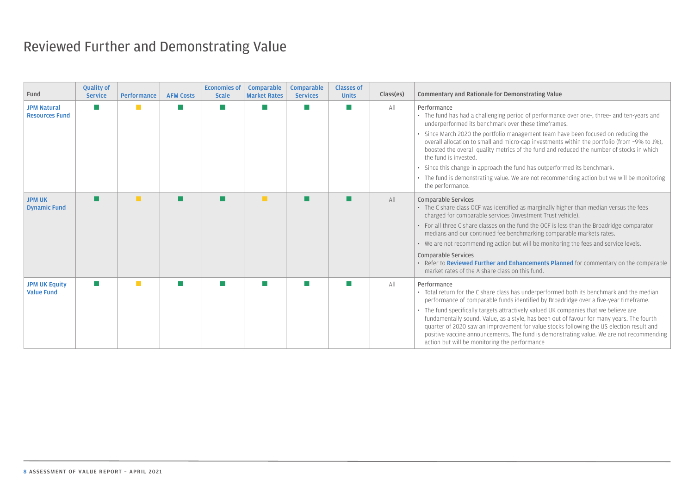<span id="page-7-0"></span>

| Fund                                        | <b>Quality of</b><br><b>Service</b> | <b>Performance</b> | <b>AFM Costs</b> | Economies of<br><b>Scale</b> | <b>Comparable</b><br><b>Market Rates</b> | <b>Comparable</b><br><b>Services</b> | <b>Classes of</b><br><b>Units</b> | Class(es) | Commentary and Rationale for Demonstrating Value                                                                                                                                                                                                                                                                                                                                                                           |
|---------------------------------------------|-------------------------------------|--------------------|------------------|------------------------------|------------------------------------------|--------------------------------------|-----------------------------------|-----------|----------------------------------------------------------------------------------------------------------------------------------------------------------------------------------------------------------------------------------------------------------------------------------------------------------------------------------------------------------------------------------------------------------------------------|
| <b>JPM Natural</b><br><b>Resources Fund</b> | ш                                   | п                  |                  |                              |                                          | <b>The State</b>                     |                                   | All       | Performance<br>• The fund has had a challenging period of performance over one-, three- and ten-years and<br>underperformed its benchmark over these timeframes.                                                                                                                                                                                                                                                           |
|                                             |                                     |                    |                  |                              |                                          |                                      |                                   |           | • Since March 2020 the portfolio management team have been focused on reducing the<br>overall allocation to small and micro-cap investments within the portfolio (from ~9% to 1%),<br>boosted the overall quality metrics of the fund and reduced the number of stocks in which<br>the fund is invested.                                                                                                                   |
|                                             |                                     |                    |                  |                              |                                          |                                      |                                   |           | • Since this change in approach the fund has outperformed its benchmark.                                                                                                                                                                                                                                                                                                                                                   |
|                                             |                                     |                    |                  |                              |                                          |                                      |                                   |           | • The fund is demonstrating value. We are not recommending action but we will be monitoring<br>the performance.                                                                                                                                                                                                                                                                                                            |
| <b>JPM UK</b><br><b>Dynamic Fund</b>        | П                                   | $\mathbf{r}$       |                  |                              | <b>T</b>                                 |                                      |                                   | All       | Comparable Services<br>• The C share class OCF was identified as marginally higher than median versus the fees<br>charged for comparable services (Investment Trust vehicle).                                                                                                                                                                                                                                              |
|                                             |                                     |                    |                  |                              |                                          |                                      |                                   |           | • For all three C share classes on the fund the OCF is less than the Broadridge comparator<br>medians and our continued fee benchmarking comparable markets rates.                                                                                                                                                                                                                                                         |
|                                             |                                     |                    |                  |                              |                                          |                                      |                                   |           | • We are not recommending action but will be monitoring the fees and service levels.                                                                                                                                                                                                                                                                                                                                       |
|                                             |                                     |                    |                  |                              |                                          |                                      |                                   |           | Comparable Services<br>• Refer to <b>Reviewed Further and Enhancements Planned</b> for commentary on the comparable<br>market rates of the A share class on this fund.                                                                                                                                                                                                                                                     |
| <b>JPM UK Equity</b><br><b>Value Fund</b>   | $\sim$                              | п                  |                  |                              |                                          | p.                                   |                                   | All       | Performance<br>• Total return for the C share class has underperformed both its benchmark and the median<br>performance of comparable funds identified by Broadridge over a five-year timeframe.                                                                                                                                                                                                                           |
|                                             |                                     |                    |                  |                              |                                          |                                      |                                   |           | • The fund specifically targets attractively valued UK companies that we believe are<br>fundamentally sound. Value, as a style, has been out of favour for many years. The fourth<br>quarter of 2020 saw an improvement for value stocks following the US election result and<br>positive vaccine announcements. The fund is demonstrating value. We are not recommending<br>action but will be monitoring the performance |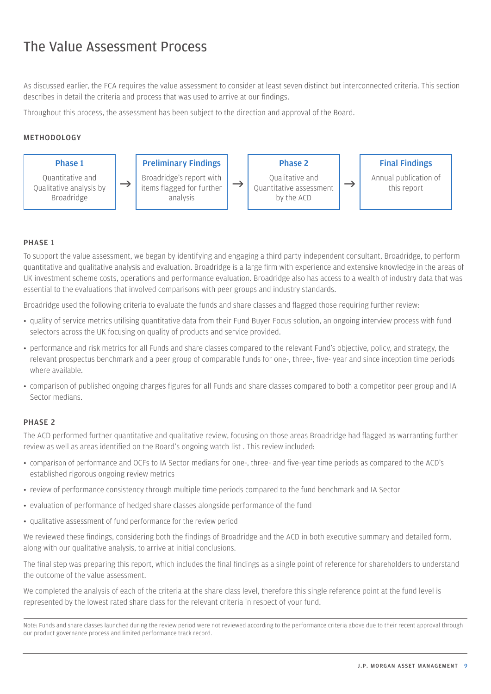<span id="page-8-0"></span>As discussed earlier, the FCA requires the value assessment to consider at least seven distinct but interconnected criteria. This section describes in detail the criteria and process that was used to arrive at our findings.

Throughout this process, the assessment has been subject to the direction and approval of the Board.

#### METHODOLOGY



#### PHASE 1

To support the value assessment, we began by identifying and engaging a third party independent consultant, Broadridge, to perform quantitative and qualitative analysis and evaluation. Broadridge is a large firm with experience and extensive knowledge in the areas of UK investment scheme costs, operations and performance evaluation. Broadridge also has access to a wealth of industry data that was essential to the evaluations that involved comparisons with peer groups and industry standards.

Broadridge used the following criteria to evaluate the funds and share classes and flagged those requiring further review:

- quality of service metrics utilising quantitative data from their Fund Buyer Focus solution, an ongoing interview process with fund selectors across the UK focusing on quality of products and service provided.
- y performance and risk metrics for all Funds and share classes compared to the relevant Fund's objective, policy, and strategy, the relevant prospectus benchmark and a peer group of comparable funds for one-, three-, five- year and since inception time periods where available.
- comparison of published ongoing charges figures for all Funds and share classes compared to both a competitor peer group and IA Sector medians.

#### PHASE 2

The ACD performed further quantitative and qualitative review, focusing on those areas Broadridge had flagged as warranting further review as well as areas identified on the Board's ongoing watch list . This review included:

- y comparison of performance and OCFs to IA Sector medians for one-, three- and five-year time periods as compared to the ACD's established rigorous ongoing review metrics
- review of performance consistency through multiple time periods compared to the fund benchmark and IA Sector
- evaluation of performance of hedged share classes alongside performance of the fund
- qualitative assessment of fund performance for the review period

We reviewed these findings, considering both the findings of Broadridge and the ACD in both executive summary and detailed form, along with our qualitative analysis, to arrive at initial conclusions.

The final step was preparing this report, which includes the final findings as a single point of reference for shareholders to understand the outcome of the value assessment.

We completed the analysis of each of the criteria at the share class level, therefore this single reference point at the fund level is represented by the lowest rated share class for the relevant criteria in respect of your fund.

Note: Funds and share classes launched during the review period were not reviewed according to the performance criteria above due to their recent approval through our product governance process and limited performance track record.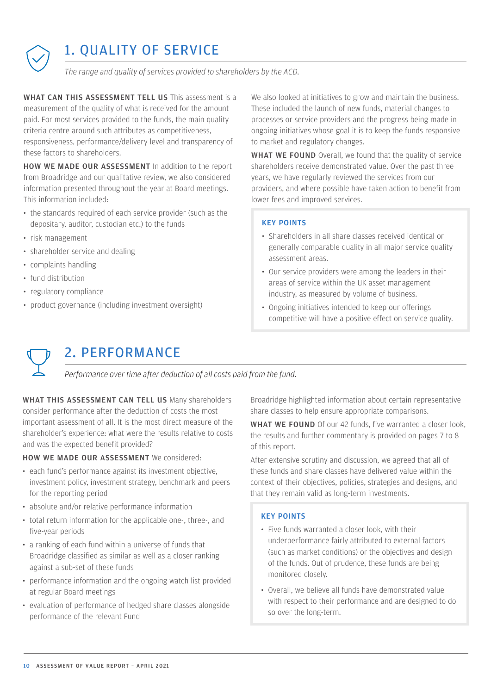<span id="page-9-0"></span>

# 1. QUALITY OF SERVICE

*The range and quality of services provided to shareholders by the ACD.*

WHAT CAN THIS ASSESSMENT TELL US This assessment is a measurement of the quality of what is received for the amount paid. For most services provided to the funds, the main quality criteria centre around such attributes as competitiveness, responsiveness, performance/delivery level and transparency of these factors to shareholders.

HOW WE MADE OUR ASSESSMENT In addition to the report from Broadridge and our qualitative review, we also considered information presented throughout the year at Board meetings. This information included:

- the standards required of each service provider (such as the depositary, auditor, custodian etc.) to the funds
- risk management
- shareholder service and dealing
- complaints handling
- fund distribution
- regulatory compliance
- product governance (including investment oversight)

We also looked at initiatives to grow and maintain the business. These included the launch of new funds, material changes to processes or service providers and the progress being made in ongoing initiatives whose goal it is to keep the funds responsive to market and regulatory changes.

WHAT WE FOUND Overall, we found that the quality of service shareholders receive demonstrated value. Over the past three years, we have regularly reviewed the services from our providers, and where possible have taken action to benefit from lower fees and improved services.

#### KEY POINTS

- Shareholders in all share classes received identical or generally comparable quality in all major service quality assessment areas.
- Our service providers were among the leaders in their areas of service within the UK asset management industry, as measured by volume of business.
- Ongoing initiatives intended to keep our offerings competitive will have a positive effect on service quality.



### 2. PERFORMANCE

*Performance over time after deduction of all costs paid from the fund.*

WHAT THIS ASSESSMENT CAN TELL US Many shareholders consider performance after the deduction of costs the most important assessment of all. It is the most direct measure of the shareholder's experience: what were the results relative to costs and was the expected benefit provided?

#### HOW WE MADE OUR ASSESSMENT We considered:

- each fund's performance against its investment objective, investment policy, investment strategy, benchmark and peers for the reporting period
- absolute and/or relative performance information
- total return information for the applicable one-, three-, and five-year periods
- a ranking of each fund within a universe of funds that Broadridge classified as similar as well as a closer ranking against a sub-set of these funds
- performance information and the ongoing watch list provided at regular Board meetings
- evaluation of performance of hedged share classes alongside performance of the relevant Fund

Broadridge highlighted information about certain representative share classes to help ensure appropriate comparisons.

WHAT WE FOUND Of our 42 funds, five warranted a closer look, the results and further commentary is provided on pages 7 to 8 of this report.

After extensive scrutiny and discussion, we agreed that all of these funds and share classes have delivered value within the context of their objectives, policies, strategies and designs, and that they remain valid as long-term investments.

#### KEY POINTS

- Five funds warranted a closer look, with their underperformance fairly attributed to external factors (such as market conditions) or the objectives and design of the funds. Out of prudence, these funds are being monitored closely.
- Overall, we believe all funds have demonstrated value with respect to their performance and are designed to do so over the long-term.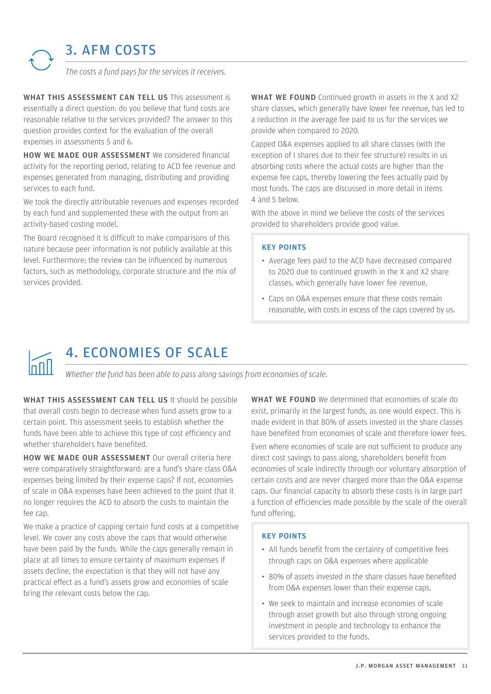<span id="page-10-0"></span>

WHAT THIS ASSESSMENT CAN TELL US This assessment is essentially a direct question: do you believe that fund costs are reasonable relative to the services provided? The answer to this question provides context for the evaluation of the overall expenses in assessments 5 and 6.

HOW WE MADE OUR ASSESSMENT We considered financial activity for the reporting period, relating to ACD fee revenue and expenses generated from managing, distributing and providing services to each fund.

We took the directly attributable revenues and expenses recorded by each fund and supplemented these with the output from an activity-based costing model.

The Board recognised it is difficult to make comparisons of this nature because peer information is not publicly available at this level. Furthermore; the review can be influenced by numerous factors, such as methodology, corporate structure and the mix of services provided.

WHAT WE FOUND Continued growth in assets in the X and X2 share classes, which generally have lower fee revenue, has led to a reduction in the average fee paid to us for the services we provide when compared to 2020.

Capped O&A expenses applied to all share classes (with the exception of I shares due to their fee structure) results in us absorbing costs where the actual costs are higher than the expense fee caps, thereby lowering the fees actually paid by most funds. The caps are discussed in more detail in items 4 and 5 below.

With the above in mind we believe the costs of the services provided to shareholders provide good value.

#### KEY POINTS

- Average fees paid to the ACD have decreased compared to 2020 due to continued growth in the X and X2 share classes, which generally have lower fee revenue.
- Caps on O&A expenses ensure that these costs remain reasonable, with costs in excess of the caps covered by us.



# 4. ECONOMIES OF SCALE

*Whether the fund has been able to pass along savings from economies of scale.*

WHAT THIS ASSESSMENT CAN TELL US It should be possible that overall costs begin to decrease when fund assets grow to a certain point. This assessment seeks to establish whether the funds have been able to achieve this type of cost efficiency and whether shareholders have benefited.

HOW WE MADE OUR ASSESSMENT Our overall criteria here were comparatively straightforward: are a fund's share class O&A expenses being limited by their expense caps? If not, economies of scale in O&A expenses have been achieved to the point that it no longer requires the ACD to absorb the costs to maintain the fee cap.

We make a practice of capping certain fund costs at a competitive level. We cover any costs above the caps that would otherwise have been paid by the funds. While the caps generally remain in place at all times to ensure certainty of maximum expenses if assets decline, the expectation is that they will not have any practical effect as a fund's assets grow and economies of scale bring the relevant costs below the cap.

WHAT WE FOUND We determined that economies of scale do exist, primarily in the largest funds, as one would expect. This is made evident in that 80% of assets invested in the share classes have benefited from economies of scale and therefore lower fees.

Even where economies of scale are not sufficient to produce any direct cost savings to pass along, shareholders benefit from economies of scale indirectly through our voluntary absorption of certain costs and are never charged more than the O&A expense caps. Our financial capacity to absorb these costs is in large part a function of efficiencies made possible by the scale of the overall fund offering.

#### KEY POINTS

- All funds benefit from the certainty of competitive fees through caps on O&A expenses where applicable
- 80% of assets invested in the share classes have benefited from O&A expenses lower than their expense caps.
- We seek to maintain and increase economies of scale through asset growth but also through strong ongoing investment in people and technology to enhance the services provided to the funds.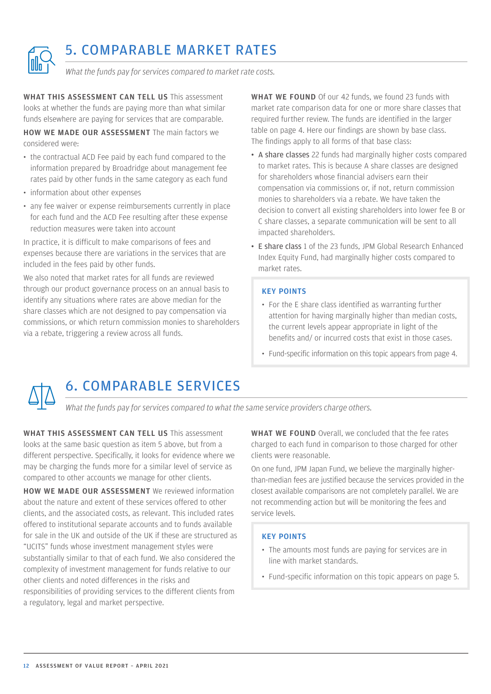<span id="page-11-0"></span>

## 5. COMPARABLE MARKET RATES

*What the funds pay for services compared to market rate costs.*

WHAT THIS ASSESSMENT CAN TELL US This assessment looks at whether the funds are paying more than what similar funds elsewhere are paying for services that are comparable.

HOW WE MADE OUR ASSESSMENT The main factors we considered were:

- the contractual ACD Fee paid by each fund compared to the information prepared by Broadridge about management fee rates paid by other funds in the same category as each fund
- information about other expenses
- any fee waiver or expense reimbursements currently in place for each fund and the ACD Fee resulting after these expense reduction measures were taken into account

In practice, it is difficult to make comparisons of fees and expenses because there are variations in the services that are included in the fees paid by other funds.

We also noted that market rates for all funds are reviewed through our product governance process on an annual basis to identify any situations where rates are above median for the share classes which are not designed to pay compensation via commissions, or which return commission monies to shareholders via a rebate, triggering a review across all funds.

WHAT WE FOUND Of our 42 funds, we found 23 funds with market rate comparison data for one or more share classes that required further review. The funds are identified in the larger table on page 4. Here our findings are shown by base class. The findings apply to all forms of that base class:

- A share classes 22 funds had marginally higher costs compared to market rates. This is because A share classes are designed for shareholders whose financial advisers earn their compensation via commissions or, if not, return commission monies to shareholders via a rebate. We have taken the decision to convert all existing shareholders into lower fee B or C share classes, a separate communication will be sent to all impacted shareholders.
- E share class 1 of the 23 funds, JPM Global Research Enhanced Index Equity Fund, had marginally higher costs compared to market rates.

#### KEY POINTS

- For the E share class identified as warranting further attention for having marginally higher than median costs, the current levels appear appropriate in light of the benefits and/ or incurred costs that exist in those cases.
- Fund-specific information on this topic appears from page 4.



## 6. COMPARABLE SERVICES

*What the funds pay for services compared to what the same service providers charge others.*

WHAT THIS ASSESSMENT CAN TELL US This assessment looks at the same basic question as item 5 above, but from a different perspective. Specifically, it looks for evidence where we may be charging the funds more for a similar level of service as compared to other accounts we manage for other clients.

HOW WE MADE OUR ASSESSMENT We reviewed information about the nature and extent of these services offered to other clients, and the associated costs, as relevant. This included rates offered to institutional separate accounts and to funds available for sale in the UK and outside of the UK if these are structured as "UCITS" funds whose investment management styles were substantially similar to that of each fund. We also considered the complexity of investment management for funds relative to our other clients and noted differences in the risks and responsibilities of providing services to the different clients from a regulatory, legal and market perspective.

WHAT WE FOUND Overall, we concluded that the fee rates charged to each fund in comparison to those charged for other clients were reasonable.

On one fund, JPM Japan Fund, we believe the marginally higherthan-median fees are justified because the services provided in the closest available comparisons are not completely parallel. We are not recommending action but will be monitoring the fees and service levels.

#### KEY POINTS

- The amounts most funds are paying for services are in line with market standards.
- Fund-specific information on this topic appears on page 5.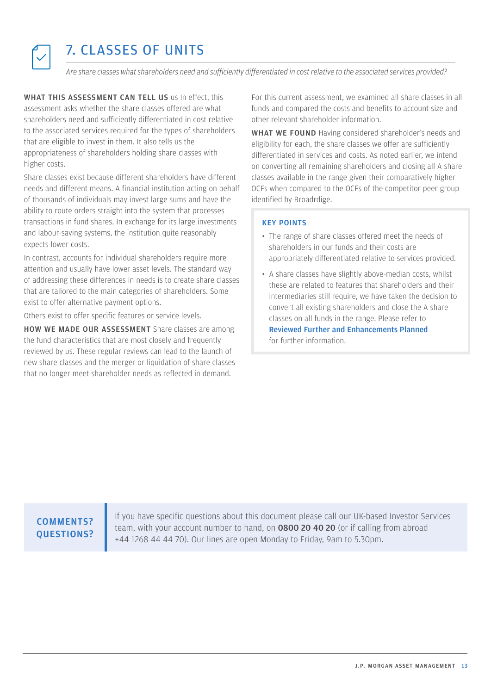<span id="page-12-0"></span>

## 7. CLASSES OF UNITS

*Are share classes what shareholders need and sufficiently differentiated in cost relative to the associated services provided?*

WHAT THIS ASSESSMENT CAN TELL US us In effect, this assessment asks whether the share classes offered are what shareholders need and sufficiently differentiated in cost relative to the associated services required for the types of shareholders that are eligible to invest in them. It also tells us the appropriateness of shareholders holding share classes with higher costs.

Share classes exist because different shareholders have different needs and different means. A financial institution acting on behalf of thousands of individuals may invest large sums and have the ability to route orders straight into the system that processes transactions in fund shares. In exchange for its large investments and labour-saving systems, the institution quite reasonably expects lower costs.

In contrast, accounts for individual shareholders require more attention and usually have lower asset levels. The standard way of addressing these differences in needs is to create share classes that are tailored to the main categories of shareholders. Some exist to offer alternative payment options.

Others exist to offer specific features or service levels.

HOW WE MADE OUR ASSESSMENT Share classes are among the fund characteristics that are most closely and frequently reviewed by us. These regular reviews can lead to the launch of new share classes and the merger or liquidation of share classes that no longer meet shareholder needs as reflected in demand.

For this current assessment, we examined all share classes in all funds and compared the costs and benefits to account size and other relevant shareholder information.

WHAT WE FOUND Having considered shareholder's needs and eligibility for each, the share classes we offer are sufficiently differentiated in services and costs. As noted earlier, we intend on converting all remaining shareholders and closing all A share classes available in the range given their comparatively higher OCFs when compared to the OCFs of the competitor peer group identified by Broadrdige.

#### KEY POINTS

- The range of share classes offered meet the needs of shareholders in our funds and their costs are appropriately differentiated relative to services provided.
- A share classes have slightly above-median costs, whilst these are related to features that shareholders and their intermediaries still require, we have taken the decision to convert all existing shareholders and close the A share classes on all funds in the range. Please refer to [Reviewed Further and Enhancements Planned](#page-4-0) for further information.

#### COMMENTS? QUESTIONS?

If you have specific questions about this document please call our UK-based Investor Services team, with your account number to hand, on 0800 20 40 20 (or if calling from abroad +44 1268 44 44 70). Our lines are open Monday to Friday, 9am to 5.30pm.